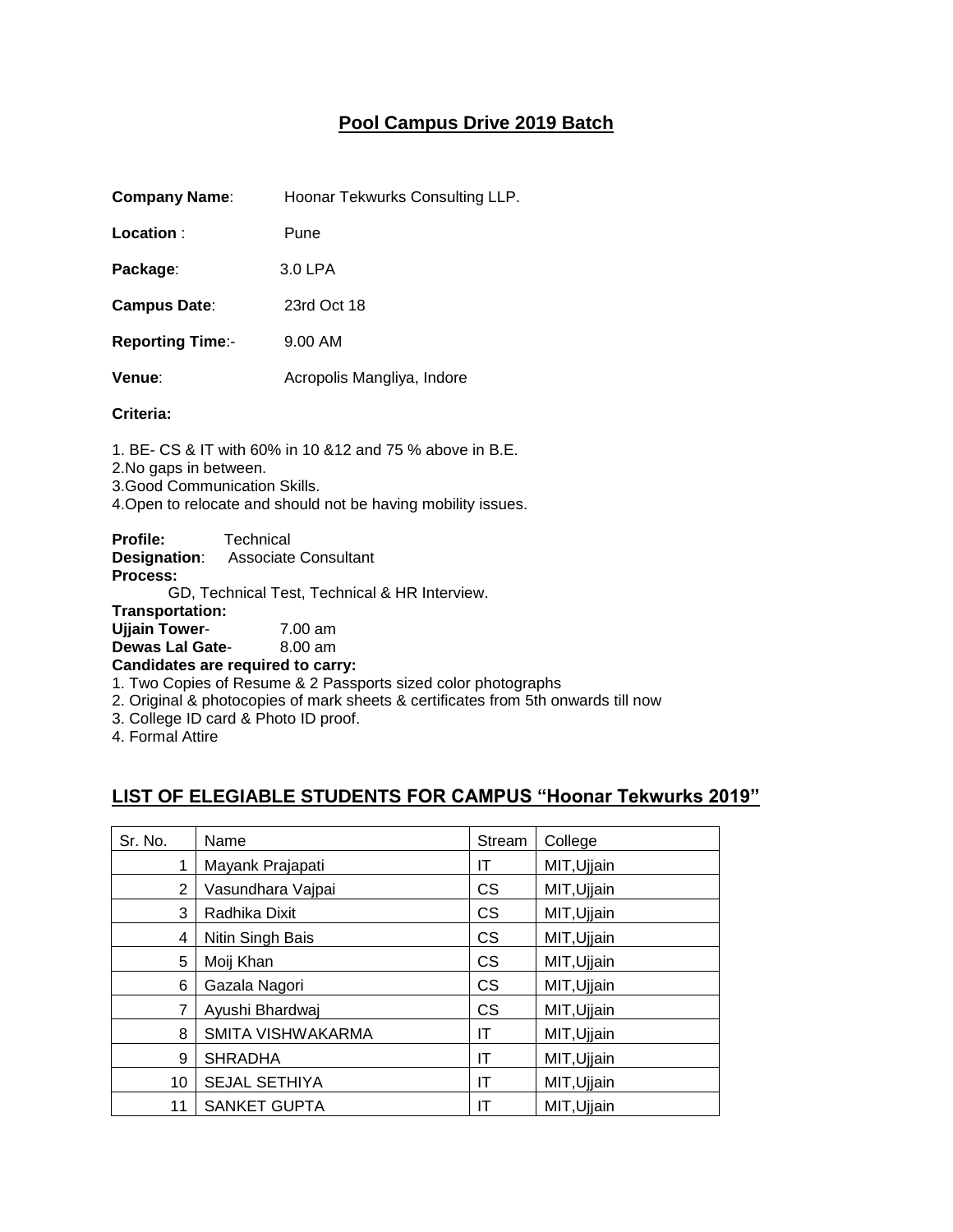## **Pool Campus Drive 2019 Batch**

**Company Name**: Hoonar Tekwurks Consulting LLP.

**Location** : Pune

**Package**: 3.0 LPA

**Campus Date**: 23rd Oct 18

**Reporting Time**:- 9.00 AM

**Venue:** Acropolis Mangliya, Indore

## **Criteria:**

1. BE- CS & IT with 60% in 10 &12 and 75 % above in B.E. 2.No gaps in between. 3.Good Communication Skills. 4.Open to relocate and should not be having mobility issues.

**Profile:** Technical **Designation**: Associate Consultant **Process:** GD, Technical Test, Technical & HR Interview.

**Transportation:**

**Ujjain Tower**- 7.00 am **Dewas Lal Gate**- 8.00 am

**Candidates are required to carry:** 

1. Two Copies of Resume & 2 Passports sized color photographs

2. Original & photocopies of mark sheets & certificates from 5th onwards till now

3. College ID card & Photo ID proof.

4. Formal Attire

## **LIST OF ELEGIABLE STUDENTS FOR CAMPUS "Hoonar Tekwurks 2019"**

| Sr. No. | Name                 | Stream    | College     |
|---------|----------------------|-----------|-------------|
|         | Mayank Prajapati     | IΤ        | MIT, Ujjain |
| 2       | Vasundhara Vajpai    | <b>CS</b> | MIT, Ujjain |
| 3       | Radhika Dixit        | <b>CS</b> | MIT, Ujjain |
| 4       | Nitin Singh Bais     | <b>CS</b> | MIT, Ujjain |
| 5       | Moij Khan            | <b>CS</b> | MIT, Ujjain |
| 6       | Gazala Nagori        | <b>CS</b> | MIT, Ujjain |
|         | Ayushi Bhardwaj      | <b>CS</b> | MIT, Ujjain |
| 8       | SMITA VISHWAKARMA    | ΙT        | MIT, Ujjain |
| 9       | <b>SHRADHA</b>       | ΙT        | MIT, Ujjain |
| 10      | <b>SEJAL SETHIYA</b> | ΙT        | MIT, Ujjain |
| 11      | <b>SANKET GUPTA</b>  | IΤ        | MIT, Ujjain |